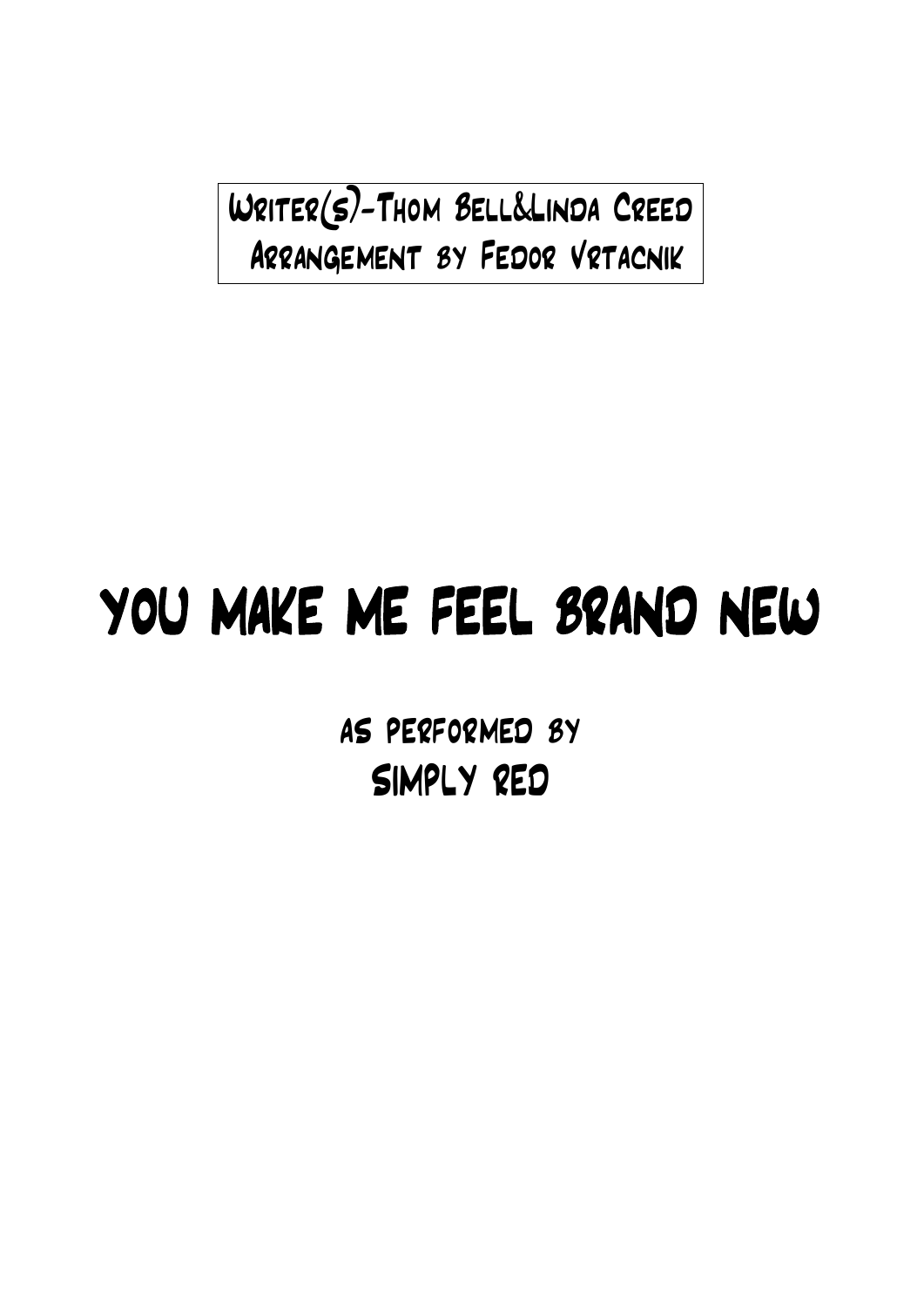Writer(s)-Thom Bell&Linda Creed Arrangement by Fedor Vrtacnik

## YOU MAKE ME FEEL BRAND NEW

as performed by SIMPLY RED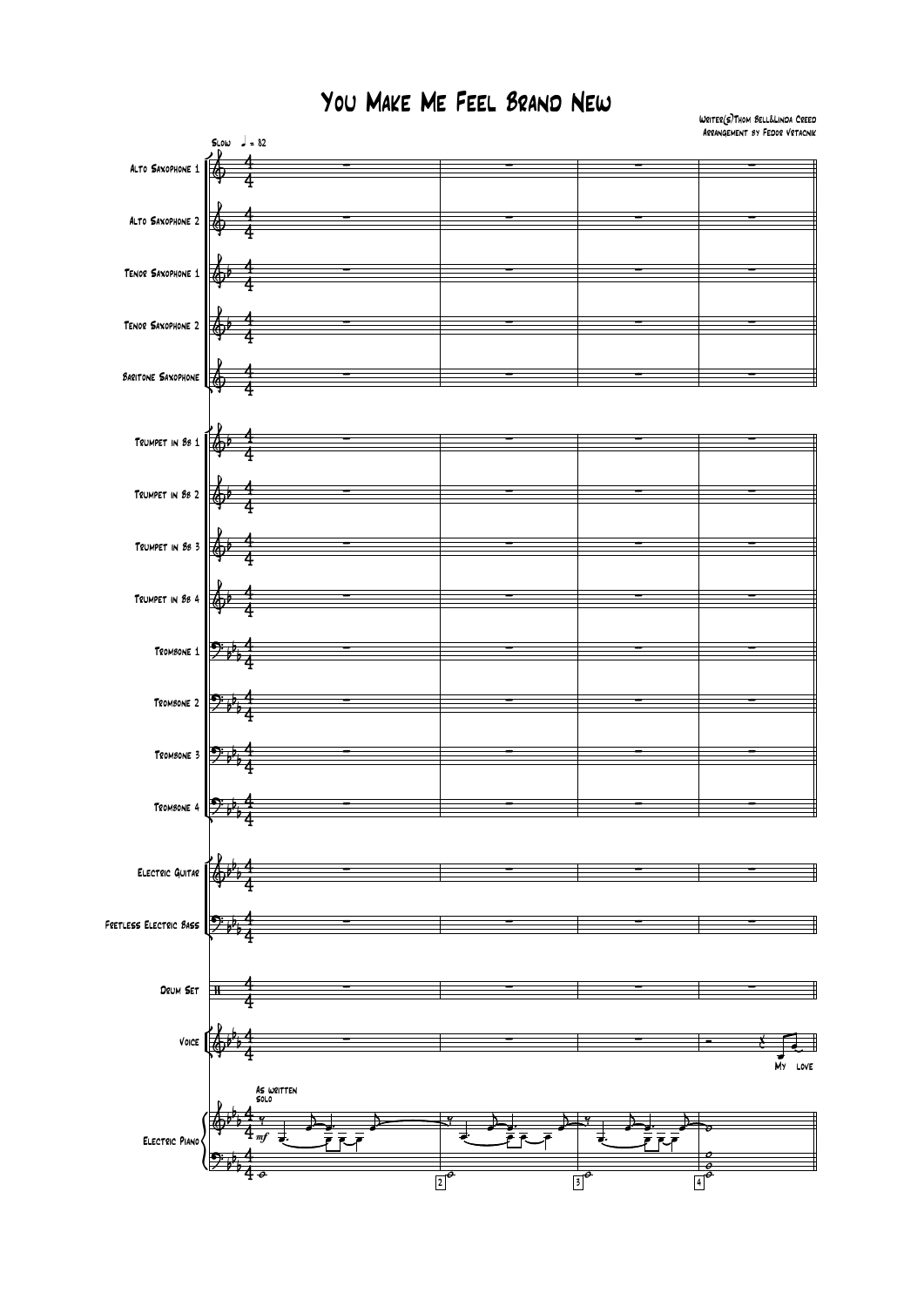## You Make Me Feel Brand New

Writer(s)Thom Bell&Linda Creed